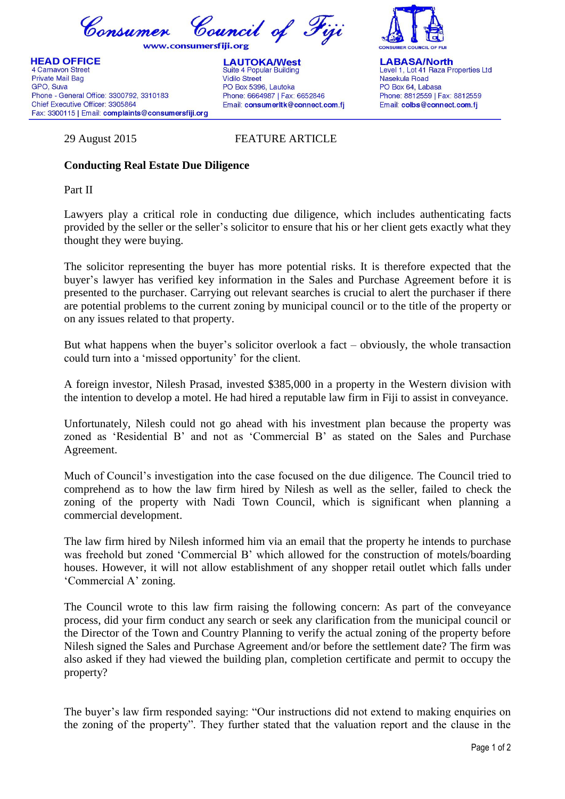Consumer Council of Fiji

www.consumersfiii.org

**HEAD OFFICE** 4 Carnavon Street Private Mail Bag GPO, Suva Phone - General Office: 3300792, 3310183 Chief Executive Officer: 3305864 Fax: 3300115 | Email: complaints@consumersfiji.org

**LAUTOKA/West** Suite 4 Popular Building **Vidilo Street** PO Box 5396, Lautoka Phone: 6664987 | Fax: 6652846 Email: consumerItk@connect.com.fi



**LABASA/North** Level 1, Lot 41 Raza Properties Ltd Nasekula Road PO Box 64, Labasa Phone: 8812559 | Fax: 8812559 Email: colbs@connect.com.fj

29 August 2015 FEATURE ARTICLE

## **Conducting Real Estate Due Diligence**

Part II

Lawyers play a critical role in conducting due diligence, which includes authenticating facts provided by the seller or the seller"s solicitor to ensure that his or her client gets exactly what they thought they were buying.

The solicitor representing the buyer has more potential risks. It is therefore expected that the buyer"s lawyer has verified key information in the Sales and Purchase Agreement before it is presented to the purchaser. Carrying out relevant searches is crucial to alert the purchaser if there are potential problems to the current zoning by municipal council or to the title of the property or on any issues related to that property.

But what happens when the buyer"s solicitor overlook a fact – obviously, the whole transaction could turn into a "missed opportunity" for the client.

A foreign investor, Nilesh Prasad, invested \$385,000 in a property in the Western division with the intention to develop a motel. He had hired a reputable law firm in Fiji to assist in conveyance.

Unfortunately, Nilesh could not go ahead with his investment plan because the property was zoned as "Residential B" and not as "Commercial B" as stated on the Sales and Purchase Agreement.

Much of Council"s investigation into the case focused on the due diligence. The Council tried to comprehend as to how the law firm hired by Nilesh as well as the seller, failed to check the zoning of the property with Nadi Town Council, which is significant when planning a commercial development.

The law firm hired by Nilesh informed him via an email that the property he intends to purchase was freehold but zoned 'Commercial B' which allowed for the construction of motels/boarding houses. However, it will not allow establishment of any shopper retail outlet which falls under "Commercial A" zoning.

The Council wrote to this law firm raising the following concern: As part of the conveyance process, did your firm conduct any search or seek any clarification from the municipal council or the Director of the Town and Country Planning to verify the actual zoning of the property before Nilesh signed the Sales and Purchase Agreement and/or before the settlement date? The firm was also asked if they had viewed the building plan, completion certificate and permit to occupy the property?

The buyer's law firm responded saying: "Our instructions did not extend to making enquiries on the zoning of the property". They further stated that the valuation report and the clause in the